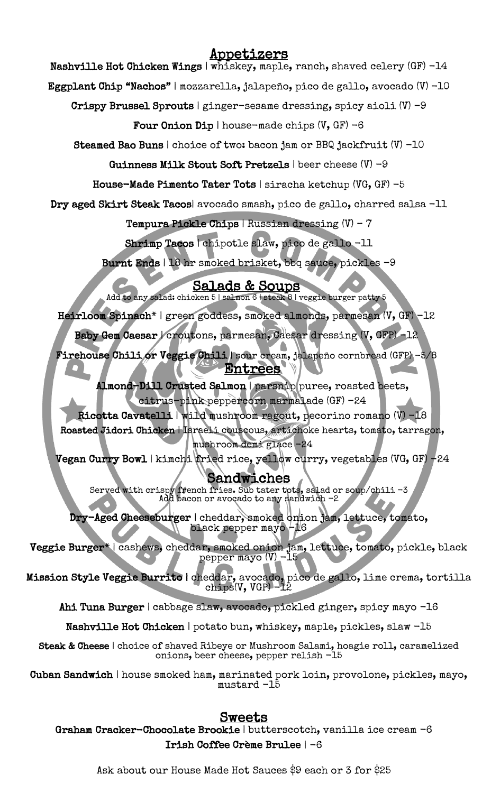## Appetizers

Nashville Hot Chicken Wings | whiskey, maple, ranch, shaved celery (GF) -14

Eggplant Chip "Nachos" | mozzarella, jalapeño, pico de gallo, avocado (V) -10

Crispy Brussel Sprouts | ginger-sesame dressing, spicy aioli  $(V)$  -9

Four Onion Dip | house-made chips  $(V, GF) -6$ 

Steamed Bao Buns | choice of two: bacon jam or BBQ jackfruit (V) -10

Guinness Milk Stout Soft Pretzels | beer cheese (V) -9

House-Made Pimento Tater Tots | siracha ketchup (VG, GF) -5

Dry aged Skirt Steak Tacos| avocado smash, pico de gallo, charred salsa -11

Tempura Pickle Chips | Russian dressing (V) – 7

Shrimp Tacos | chipotle slaw, pico de gallo -11

Burnt Ends | 18 hr smoked brisket, bbq sauce, pickles -9

Salads & Soups<br>Add to any salad: chicken 5 | salmon 6 | steak 8 | veggie burger patty 5

Heirloom Spinach\* | green goddess, smoked almonds, parmesan (V, GF) -12

Baby Gem Caesar | croutons, parmesan, Caesar dressing (V, GFP) -12

 Firehouse Chili or Veggie Chili | sour cream, jalapeño cornbread (GFP) -5/8 Entrees

 $\overline{\phantom{a}}$  Almond-Dill Crusted Salmon | parsnip puree, roasted beets, citrus-pink peppercorn marmalade (GF) -24

 Ricotta Cavatelli | wild mushroom ragout, pecorino romano (V) -18 Roasted Jidori Chicken | Israeli couscous, artichoke hearts, tomato, tarragon,

 mushroom demi glace -24 Vegan Curry Bowl | kimchi fried rice, yellow curry, vegetables (VG, GF) -24

# Sandwiches

 $\frac{1}{2}$ ۰<br>N Served with crispy french fries. Sub tater tots, salad or soup/chili -3 Add bacon or avocado to any sandwich -2

 $\sum_{i=1}^{n}$  $\mathsf{r}$ Dry-Aged Cheeseburger | cheddar, smoked onion jam, lettuce, tomato, black pepper mayo -16

 $\geq$  $\mathfrak{a}$ Veggie Burger\* | cashews, cheddar, smoked onion jam, lettuce, tomato, pickle, black pepper mayo (V) -15

 $\frac{1}{2}$ Ι, Mission Style Veggie Burrito | cheddar, avocado, pico de gallo, lime crema, tortilla chips(V, VGP) -12

Ahi Tuna Burger | cabbage slaw, avocado, pickled ginger, spicy mayo -16

 $\overline{\phantom{a}}$ Nashville Hot Chicken | potato bun, whiskey, maple, pickles, slaw -15

Steak & Cheese | choice of shaved Ribeye or Mushroom Salami, hoagie roll, caramelized onions, beer cheese, pepper relish -15

 Cuban Sandwich | house smoked ham, marinated pork loin, provolone, pickles, mayo, mustard -15

# <u>Sweets</u>

ا<br>م Graham Cracker-Chocolate Brookie | butterscotch, vanilla ice cream -6 Irish Coffee Crème Brulee | -6

Ask about our House Made Hot Sauces \$9 each or 3 for \$25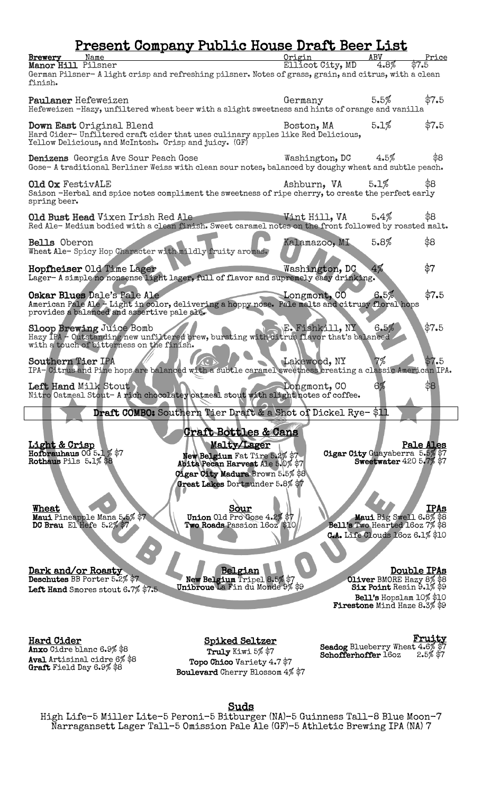# Present Company Public House Draft Beer List

| Brewery<br>Name                                                                                                  | Origin           | ABV                            | Price       |
|------------------------------------------------------------------------------------------------------------------|------------------|--------------------------------|-------------|
| Manor Hill Pilsner                                                                                               | Ellicot City, MD | $4.8\%$                        | \$7.5       |
| German Pilsner- A light crisp and refreshing pilsner. Notes of grass, grain, and citrus, with a clean<br>finish. |                  |                                |             |
|                                                                                                                  |                  |                                |             |
| Paulaner Hefeweizen                                                                                              | Germany          | 5.5%                           | \$7.5       |
| Hefeweizen -Hazy, unfiltered wheat beer with a slight sweetness and hints of orange and vanilla                  |                  |                                |             |
|                                                                                                                  |                  | 5.1%                           | \$7.5       |
| Down East Original Blend<br>Hard Cider-Unfiltered craft cider that uses culinary apples like Red Delicious,      | Boston, MA       |                                |             |
| Yellow Delicious, and McIntosh. Crisp and juicy. (GF)                                                            |                  |                                |             |
|                                                                                                                  |                  |                                |             |
| Denizens Georgia Ave Sour Peach Gose                                                                             | Washington, DC   | $4.5\%$                        | \$8         |
| Gose-A traditional Berliner Weiss with clean sour notes, balanced by doughy wheat and subtle peach.              |                  |                                |             |
| <b>Old Ox FestivALE</b>                                                                                          | Ashburn, VA      | 5.1%                           | \$8         |
| Saison -Herbal and spice notes compliment the sweetness of ripe cherry, to create the perfect early              |                  |                                |             |
| spring beer.                                                                                                     |                  |                                |             |
| Old Bust Head Vixen Irish Red Ale                                                                                | Vint Hill, VA    | 5.4%                           | \$8         |
| Red Ale-Medium bodied with a clean finish. Sweet caramel notes on the front followed by roasted malt.            |                  |                                |             |
|                                                                                                                  |                  |                                |             |
| Bells Oberon                                                                                                     | Kalamazoo, MI    | 5.8%                           | \$8         |
| Wheat Ale-Spicy Hop Character with mildly fruity aromas.                                                         |                  |                                |             |
| Hopfheiser Old Time Lager                                                                                        | Washington, DC   | 4%                             | \$7         |
| Lager-A simple no nonsense light lager, full of flavor and supremely easy drinking.                              |                  |                                |             |
|                                                                                                                  |                  |                                |             |
| Oskar Blues Dale's Pale Ale                                                                                      | Longmont, CO     | 6.5%                           | \$7.5       |
| American Pale Ale - Light in color, delivering a hoppy nose. Pale malts and citrusy floral hops                  |                  |                                |             |
| provides a balanced and assertive pale ale.                                                                      |                  |                                |             |
| <b>Sloop Brewing Juice Bomb</b>                                                                                  | E. Fishkill, NY  | 6.5%                           | \$7.5       |
| Hazy IPA - Outstanding new unfiltered brew, bursting with citrus flavor that's balanced.                         |                  |                                |             |
| with a touch of bitterness on the finish.                                                                        |                  |                                |             |
| Southern Tier IPA                                                                                                | Lakewood, NY     | 7%                             | \$7.5       |
| IPA-Citrus and Pine hops are balanced with a subtle caramel sweetness creating a classic American IPA.           |                  |                                |             |
|                                                                                                                  |                  |                                |             |
| Left Hand Milk Stout<br>Nitro Oatmeal Stout- A rich chocolatey oatmeal stout with slight notes of coffee.        | Longmont, CO     | 6%                             | \$8         |
|                                                                                                                  |                  |                                |             |
| Draft COMBO: Southern Tier Draft & a Shot of Dickel Rye-\$11                                                     |                  |                                |             |
|                                                                                                                  |                  |                                |             |
| <b>Craft Bottles &amp; Cans</b>                                                                                  |                  |                                |             |
| <u>Light &amp; Crisp</u><br>Malty/Lager                                                                          |                  |                                | Pale Ales   |
| Hoforauhaus $005.1\%$ \$7<br>New Belgium Fat Tire 5.2% \$7<br>Abita Pecan Harvest Ale 5.0% \$7                   |                  | Cigar City Guayaberra 5.5% \$7 |             |
| Rothaus Pils 5.1% \$8                                                                                            |                  | Sweetwater 420 5.7% \$7        |             |
| Cigar City Madura Brown 5.5% \$8                                                                                 |                  |                                |             |
| Great Lakes Dortmunder 5.8% \$7                                                                                  |                  |                                |             |
|                                                                                                                  |                  |                                |             |
| Sour<br><b>Wheat</b>                                                                                             |                  |                                | <b>IPAs</b> |
| Union Old Pro Gose 4.2% \$7<br>Maui Pineapple Mana 5.5% \$7                                                      |                  | Maui Big Swell 6.8% \$8        |             |

DC Brau El Hefe 5.2

Two Roads Passion 16oz \$10

Bell's Two Hearted 16oz 7% \$8 C.A. Life Clouds 16oz 6.1% \$10

Dark and/or Roasty<br>Deschutes BB Porter 5.2% \$7

Left Hand Smores stout 6.7% \$7.5

Belgian<br>
New Belgium Tripel 8.5% \$7<br>
Unibroue La Fin du Monde 9% \$9

**Double IPAs**<br>Oliver BMORE Hazy 8% \$8 Six Point Resin 9.1% \$9 Bell's Hopslam 10% \$10<br>Firestone Mind Haze 8.3% \$9

Hard Cider

Anxo Cidre blanc 6.9% \$8 Aval Artisinal cidre 6% \$8<br>Graft Field Day 6.9% \$8

Spiked Seltzer Truly Kiwi 5% \$7 Topo Chico Variety 4.7 \$7 Boulevard Cherry Blossom 4% \$7 **Fruity**<br>Seadog Blueberry Wheat 4.6% \$7<br>Schofferhoffer 16oz 2.5% \$7

Suds<br>High Life-5 Miller Lite-5 Peroni-5 Bitburger (NA)-5 Guinness Tall-8 Blue Moon-7 Narragansett Lager Tall–5 Omission Pale Ale (GF)-5 Athletic Brewing IPA (NA) 7